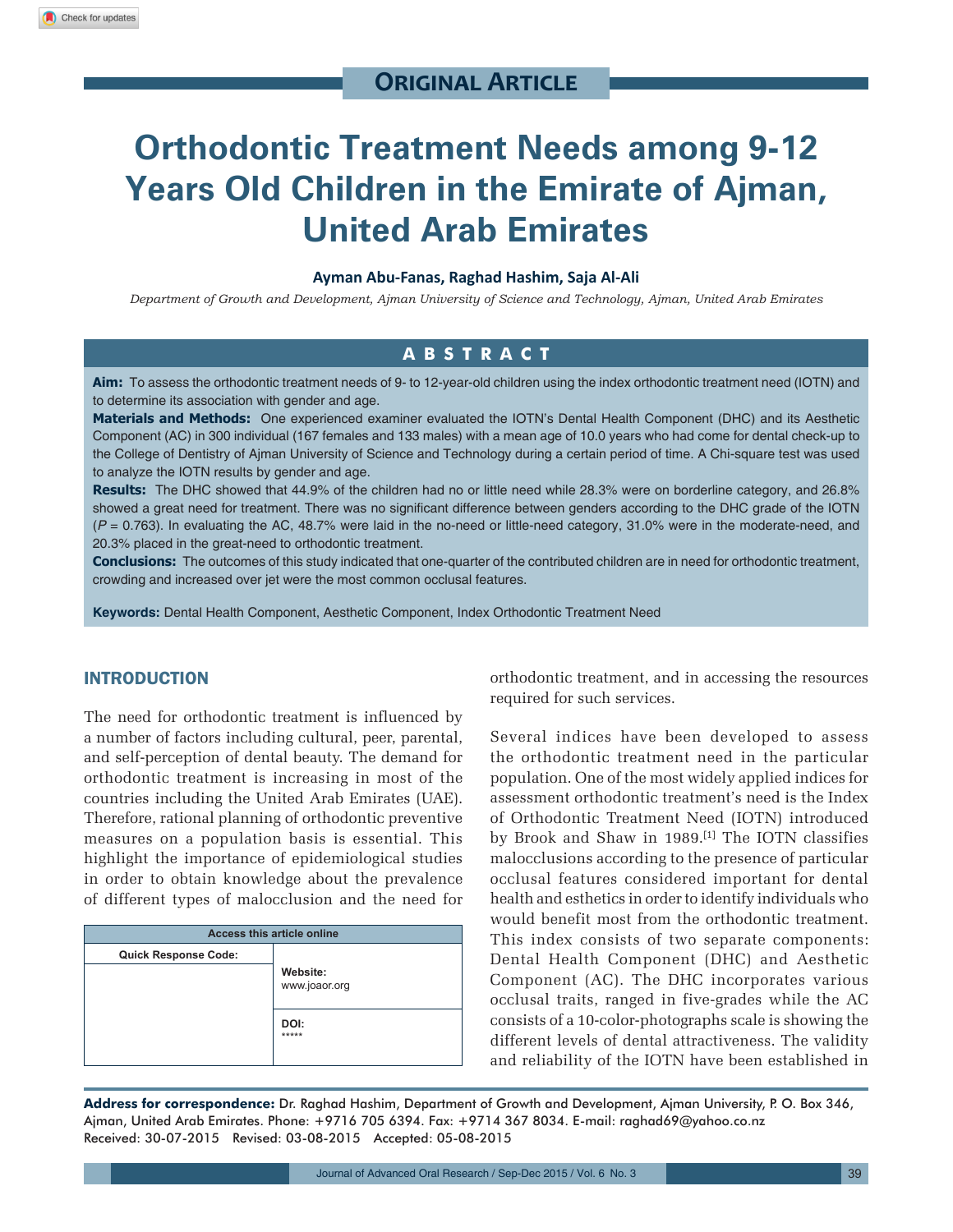# **Original Article**

# **Orthodontic Treatment Needs among 9-12 Years Old Children in the Emirate of Ajman, United Arab Emirates**

#### **Ayman Abu-Fanas, Raghad Hashim, Saja Al-Ali**

*Department of Growth and Development, Ajman University of Science and Technology, Ajman, United Arab Emirates*

## **ABSTRACT**

**Aim:** To assess the orthodontic treatment needs of 9- to 12-year-old children using the index orthodontic treatment need (IOTN) and to determine its association with gender and age.

**Materials and Methods:** One experienced examiner evaluated the IOTN's Dental Health Component (DHC) and its Aesthetic Component (AC) in 300 individual (167 females and 133 males) with a mean age of 10.0 years who had come for dental check-up to the College of Dentistry of Ajman University of Science and Technology during a certain period of time. A Chi-square test was used to analyze the IOTN results by gender and age.

**Results:** The DHC showed that 44.9% of the children had no or little need while 28.3% were on borderline category, and 26.8% showed a great need for treatment. There was no significant difference between genders according to the DHC grade of the IOTN (*P* = 0.763). In evaluating the AC, 48.7% were laid in the no-need or little-need category, 31.0% were in the moderate-need, and 20.3% placed in the great-need to orthodontic treatment.

**Conclusions:** The outcomes of this study indicated that one-quarter of the contributed children are in need for orthodontic treatment, crowding and increased over jet were the most common occlusal features.

**Keywords:** Dental Health Component, Aesthetic Component, Index Orthodontic Treatment Need

### INTRODUCTION

The need for orthodontic treatment is influenced by a number of factors including cultural, peer, parental, and self-perception of dental beauty. The demand for orthodontic treatment is increasing in most of the countries including the United Arab Emirates (UAE). Therefore, rational planning of orthodontic preventive measures on a population basis is essential. This highlight the importance of epidemiological studies in order to obtain knowledge about the prevalence of different types of malocclusion and the need for

| <b>Access this article online</b> |               |  |
|-----------------------------------|---------------|--|
| <b>Quick Response Code:</b>       |               |  |
|                                   | Website:      |  |
|                                   | www.joaor.org |  |
|                                   |               |  |
|                                   | DOI:<br>***** |  |
|                                   |               |  |
|                                   |               |  |

orthodontic treatment, and in accessing the resources required for such services.

Several indices have been developed to assess the orthodontic treatment need in the particular population. One of the most widely applied indices for assessment orthodontic treatment's need is the Index of Orthodontic Treatment Need (IOTN) introduced by Brook and Shaw in 1989.[1] The IOTN classifies malocclusions according to the presence of particular occlusal features considered important for dental health and esthetics in order to identify individuals who would benefit most from the orthodontic treatment. This index consists of two separate components: Dental Health Component (DHC) and Aesthetic Component (AC). The DHC incorporates various occlusal traits, ranged in five-grades while the AC consists of a 10-color-photographs scale is showing the different levels of dental attractiveness. The validity and reliability of the IOTN have been established in

**Address for correspondence:** Dr. Raghad Hashim, Department of Growth and Development, Ajman University, P. O. Box 346, Ajman, United Arab Emirates. Phone: +9716 705 6394. Fax: +9714 367 8034. E-mail: raghad69@yahoo.co.nz Received: 30-07-2015 Revised: 03-08-2015 Accepted: 05-08-2015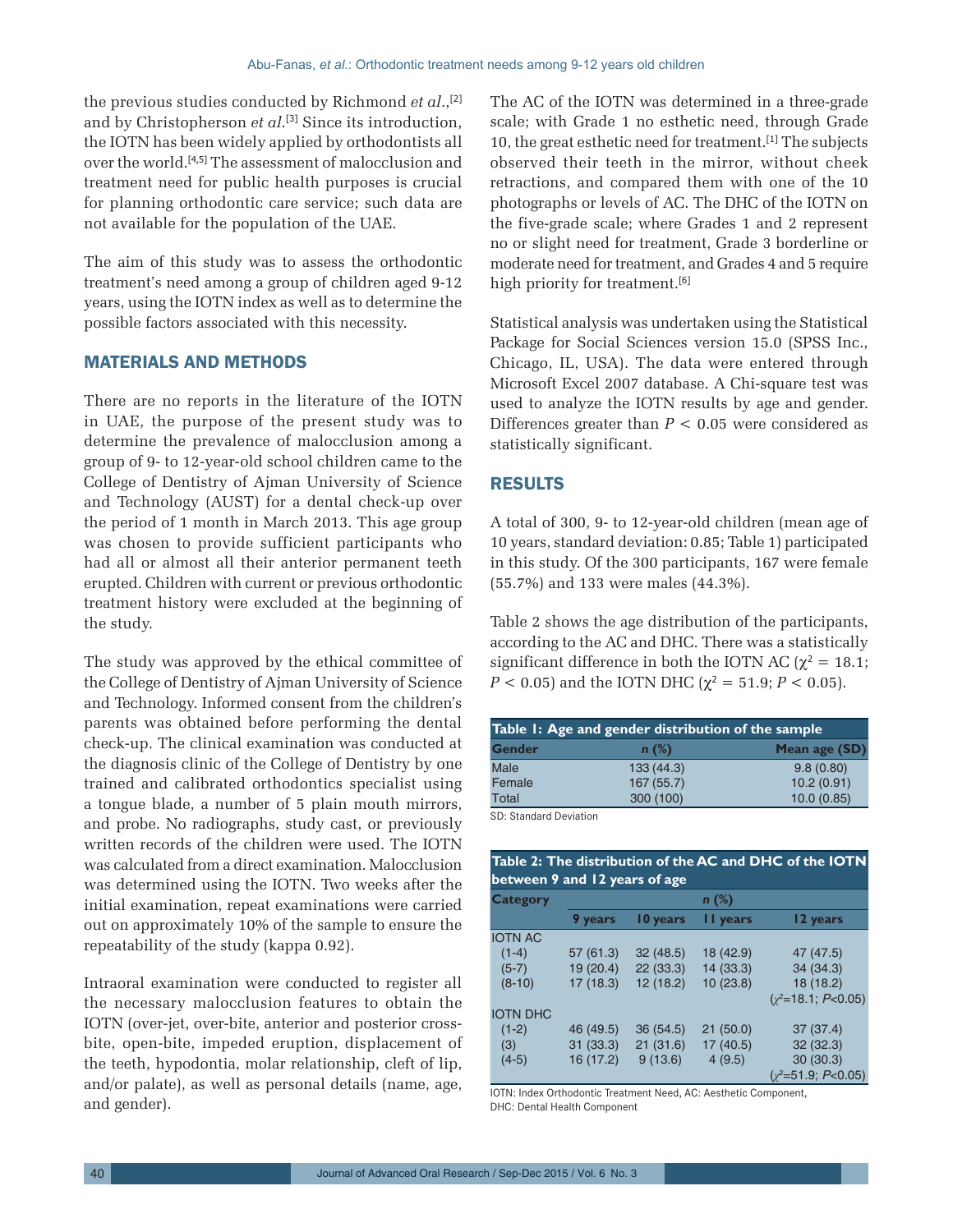the previous studies conducted by Richmond *et al*.,[2] and by Christopherson *et al*. [3] Since its introduction, the IOTN has been widely applied by orthodontists all over the world.[4,5] The assessment of malocclusion and treatment need for public health purposes is crucial for planning orthodontic care service; such data are not available for the population of the UAE.

The aim of this study was to assess the orthodontic treatment's need among a group of children aged 9-12 years, using the IOTN index as well as to determine the possible factors associated with this necessity.

#### MATERIALS AND METHODS

There are no reports in the literature of the IOTN in UAE, the purpose of the present study was to determine the prevalence of malocclusion among a group of 9- to 12-year-old school children came to the College of Dentistry of Ajman University of Science and Technology (AUST) for a dental check-up over the period of 1 month in March 2013. This age group was chosen to provide sufficient participants who had all or almost all their anterior permanent teeth erupted. Children with current or previous orthodontic treatment history were excluded at the beginning of the study.

The study was approved by the ethical committee of the College of Dentistry of Ajman University of Science and Technology. Informed consent from the children's parents was obtained before performing the dental check-up. The clinical examination was conducted at the diagnosis clinic of the College of Dentistry by one trained and calibrated orthodontics specialist using a tongue blade, a number of 5 plain mouth mirrors, and probe. No radiographs, study cast, or previously written records of the children were used. The IOTN was calculated from a direct examination. Malocclusion was determined using the IOTN. Two weeks after the initial examination, repeat examinations were carried out on approximately 10% of the sample to ensure the repeatability of the study (kappa 0.92).

Intraoral examination were conducted to register all the necessary malocclusion features to obtain the IOTN (over-jet, over-bite, anterior and posterior crossbite, open-bite, impeded eruption, displacement of the teeth, hypodontia, molar relationship, cleft of lip, and/or palate), as well as personal details (name, age, and gender).

The AC of the IOTN was determined in a three-grade scale; with Grade 1 no esthetic need, through Grade 10, the great esthetic need for treatment.[1] The subjects observed their teeth in the mirror, without cheek retractions, and compared them with one of the 10 photographs or levels of AC. The DHC of the IOTN on the five-grade scale; where Grades 1 and 2 represent no or slight need for treatment, Grade 3 borderline or moderate need for treatment, and Grades 4 and 5 require high priority for treatment.<sup>[6]</sup>

Statistical analysis was undertaken using the Statistical Package for Social Sciences version 15.0 (SPSS Inc., Chicago, IL, USA). The data were entered through Microsoft Excel 2007 database. A Chi-square test was used to analyze the IOTN results by age and gender. Differences greater than  $P < 0.05$  were considered as statistically significant.

### RESULTS

A total of 300, 9- to 12-year-old children (mean age of 10 years, standard deviation: 0.85; Table 1) participated in this study. Of the 300 participants, 167 were female (55.7%) and 133 were males (44.3%).

Table 2 shows the age distribution of the participants, according to the AC and DHC. There was a statistically significant difference in both the IOTN AC ( $\chi^2$  = 18.1; *P* < 0.05) and the IOTN DHC ( $\chi^2 = 51.9; P < 0.05$ ).

| Table 1: Age and gender distribution of the sample |  |  |  |
|----------------------------------------------------|--|--|--|
| Mean age (SD)                                      |  |  |  |
| 9.8(0.80)                                          |  |  |  |
| 10.2(0.91)                                         |  |  |  |
| 10.0(0.85)                                         |  |  |  |
|                                                    |  |  |  |

SD: Standard Deviation

| Table 2: The distribution of the AC and DHC of the IOTN<br>between 9 and 12 years of age |           |          |           |                      |
|------------------------------------------------------------------------------------------|-----------|----------|-----------|----------------------|
| <b>Category</b>                                                                          | $n$ (%)   |          |           |                      |
|                                                                                          | 9 years   | 10 years | I I years | 12 years             |
| <b>IOTN AC</b>                                                                           |           |          |           |                      |
| $(1-4)$                                                                                  | 57(61.3)  | 32(48.5) | 18 (42.9) | 47 (47.5)            |
| $(5-7)$                                                                                  | 19(20.4)  | 22(33.3) | 14(33.3)  | 34(34.3)             |
| $(8-10)$                                                                                 | 17(18.3)  | 12(18.2) | 10(23.8)  | 18 (18.2)            |
|                                                                                          |           |          |           | $(y^2=18.1; P<0.05)$ |
| <b>IOTN DHC</b>                                                                          |           |          |           |                      |
| $(1-2)$                                                                                  | 46 (49.5) | 36(54.5) | 21(50.0)  | 37(37.4)             |
| (3)                                                                                      | 31(33.3)  | 21(31.6) | 17(40.5)  | 32(32.3)             |
| $(4-5)$                                                                                  | 16 (17.2) | 9(13.6)  | 4(9.5)    | 30(30.3)             |
|                                                                                          |           |          |           | $(y^2=51.9; P<0.05)$ |

IOTN: Index Orthodontic Treatment Need, AC: Aesthetic Component, DHC: Dental Health Component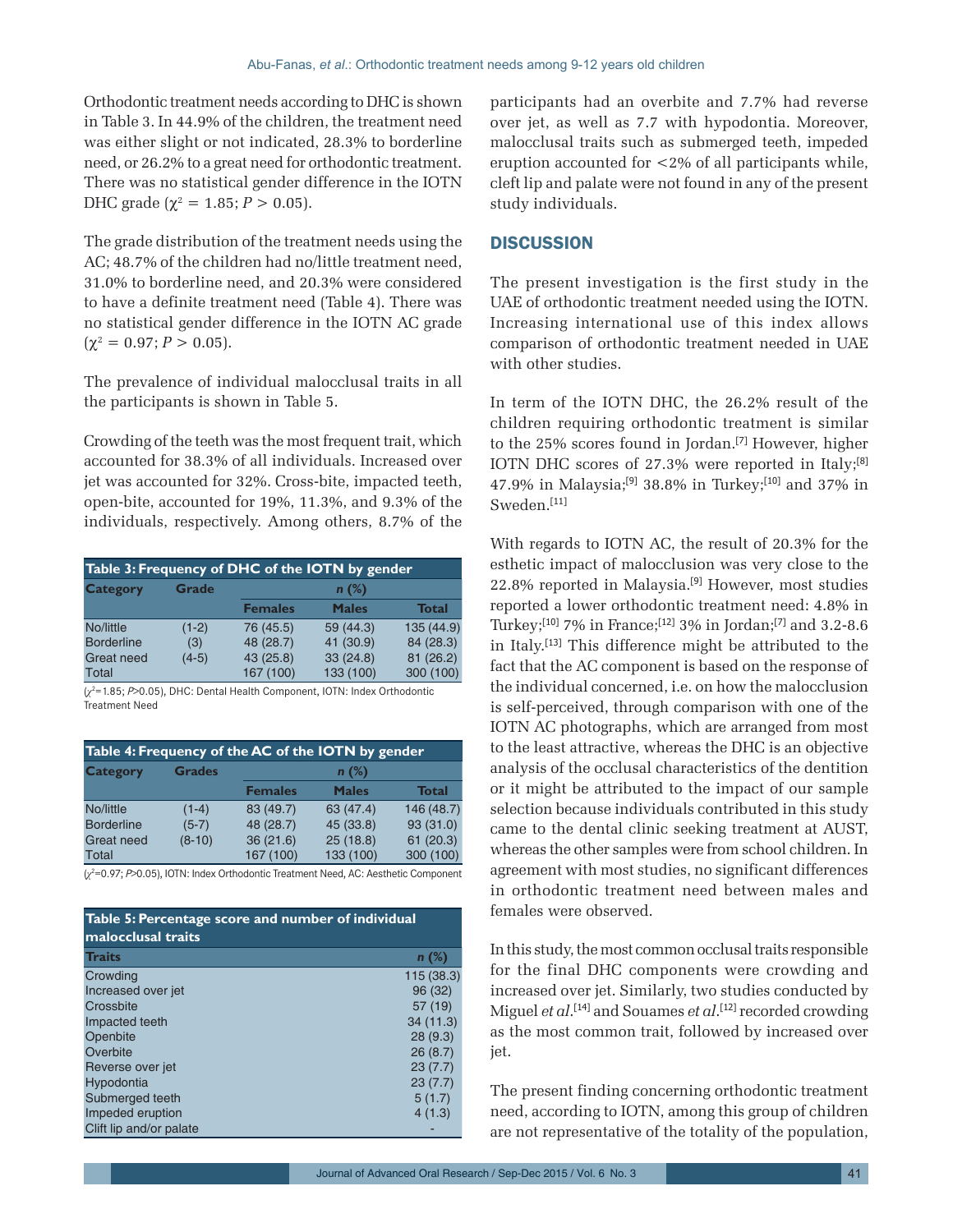Orthodontic treatment needs according to DHC is shown in Table 3. In 44.9% of the children, the treatment need was either slight or not indicated, 28.3% to borderline need, or 26.2% to a great need for orthodontic treatment. There was no statistical gender difference in the IOTN DHC grade ( $\chi^2 = 1.85; P > 0.05$ ).

The grade distribution of the treatment needs using the AC; 48.7% of the children had no/little treatment need, 31.0% to borderline need, and 20.3% were considered to have a definite treatment need (Table 4). There was no statistical gender difference in the IOTN AC grade  $(\chi^2 = 0.97; P > 0.05).$ 

The prevalence of individual malocclusal traits in all the participants is shown in Table 5.

Crowding of the teeth was the most frequent trait, which accounted for 38.3% of all individuals. Increased over jet was accounted for 32%. Cross-bite, impacted teeth, open-bite, accounted for 19%, 11.3%, and 9.3% of the individuals, respectively. Among others, 8.7% of the

| Table 3: Frequency of DHC of the IOTN by gender |              |                |              |              |
|-------------------------------------------------|--------------|----------------|--------------|--------------|
| <b>Category</b>                                 | <b>Grade</b> | $n(\%)$        |              |              |
|                                                 |              | <b>Females</b> | <b>Males</b> | <b>Total</b> |
| No/little                                       | $(1-2)$      | 76 (45.5)      | 59 (44.3)    | 135(44.9)    |
| <b>Borderline</b>                               | (3)          | 48 (28.7)      | 41 (30.9)    | 84 (28.3)    |
| <b>Great need</b>                               | $(4-5)$      | 43 (25.8)      | 33(24.8)     | 81(26.2)     |
| Total                                           |              | 167 (100)      | 133 (100)    | 300 (100)    |

(*χ*<sup>2</sup> =1.85; *P*>0.05), DHC: Dental Health Component, IOTN: Index Orthodontic Treatment Need

| Table 4: Frequency of the AC of the IOTN by gender |               |                |              |              |
|----------------------------------------------------|---------------|----------------|--------------|--------------|
| <b>Category</b>                                    | <b>Grades</b> | $n(\%)$        |              |              |
|                                                    |               | <b>Females</b> | <b>Males</b> | <b>Total</b> |
| No/little                                          | $(1-4)$       | 83 (49.7)      | 63 (47.4)    | 146 (48.7)   |
| <b>Borderline</b>                                  | $(5-7)$       | 48 (28.7)      | 45 (33.8)    | 93(31.0)     |
| <b>Great need</b>                                  | $(8-10)$      | 36(21.6)       | 25(18.8)     | 61(20.3)     |
| Total                                              |               | 167 (100)      | 133 (100)    | 300 (100)    |

(*χ*2 =0.97; *P*>0.05), IOTN: Index Orthodontic Treatment Need, AC: Aesthetic Component

| Table 5: Percentage score and number of individual<br>malocclusal traits |            |  |
|--------------------------------------------------------------------------|------------|--|
| <b>Traits</b>                                                            | $n$ (%)    |  |
| Crowding                                                                 | 115 (38.3) |  |
| Increased over jet                                                       | 96 (32)    |  |
| Crossbite                                                                | 57 (19)    |  |
| Impacted teeth                                                           | 34(11.3)   |  |
| Openbite                                                                 | 28(9.3)    |  |
| Overbite                                                                 | 26(8.7)    |  |
| Reverse over jet                                                         | 23(7.7)    |  |
| Hypodontia                                                               | 23(7.7)    |  |
| Submerged teeth                                                          | 5(1.7)     |  |
| Impeded eruption                                                         | 4(1.3)     |  |
| Clift lip and/or palate                                                  |            |  |

participants had an overbite and 7.7% had reverse over jet, as well as 7.7 with hypodontia. Moreover, malocclusal traits such as submerged teeth, impeded eruption accounted for <2% of all participants while, cleft lip and palate were not found in any of the present study individuals.

#### **DISCUSSION**

The present investigation is the first study in the UAE of orthodontic treatment needed using the IOTN. Increasing international use of this index allows comparison of orthodontic treatment needed in UAE with other studies.

In term of the IOTN DHC, the 26.2% result of the children requiring orthodontic treatment is similar to the 25% scores found in Jordan.[7] However, higher IOTN DHC scores of 27.3% were reported in Italy;[8] 47.9% in Malaysia;[9] 38.8% in Turkey;[10] and 37% in Sweden.[11]

With regards to IOTN AC, the result of 20.3% for the esthetic impact of malocclusion was very close to the 22.8% reported in Malaysia.[9] However, most studies reported a lower orthodontic treatment need: 4.8% in Turkey;[10] 7% in France;[12] 3% in Jordan;[7] and 3.2-8.6 in Italy.[13] This difference might be attributed to the fact that the AC component is based on the response of the individual concerned, i.e. on how the malocclusion is self-perceived, through comparison with one of the IOTN AC photographs, which are arranged from most to the least attractive, whereas the DHC is an objective analysis of the occlusal characteristics of the dentition or it might be attributed to the impact of our sample selection because individuals contributed in this study came to the dental clinic seeking treatment at AUST, whereas the other samples were from school children. In agreement with most studies, no significant differences in orthodontic treatment need between males and females were observed.

In this study, the most common occlusal traits responsible for the final DHC components were crowding and increased over jet. Similarly, two studies conducted by Miguel *et al*. [14] and Souames *et al*. [12] recorded crowding as the most common trait, followed by increased over jet.

The present finding concerning orthodontic treatment need, according to IOTN, among this group of children are not representative of the totality of the population,